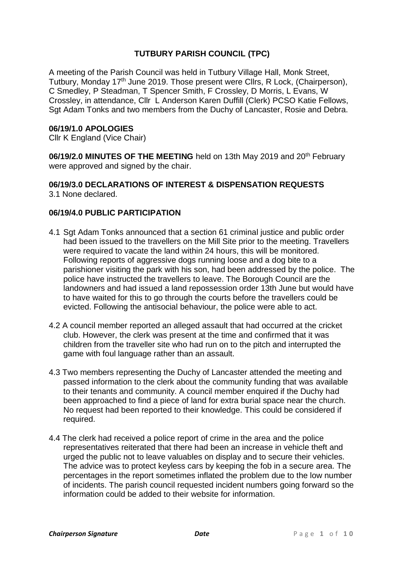# **TUTBURY PARISH COUNCIL (TPC)**

A meeting of the Parish Council was held in Tutbury Village Hall, Monk Street, Tutbury, Monday 17<sup>th</sup> June 2019. Those present were Cllrs, R Lock, (Chairperson), C Smedley, P Steadman, T Spencer Smith, F Crossley, D Morris, L Evans, W Crossley, in attendance, Cllr L Anderson Karen Duffill (Clerk) PCSO Katie Fellows, Sgt Adam Tonks and two members from the Duchy of Lancaster, Rosie and Debra.

## **06/19/1.0 APOLOGIES**

Cllr K England (Vice Chair)

**06/19/2.0 MINUTES OF THE MEETING** held on 13th May 2019 and 20<sup>th</sup> February were approved and signed by the chair.

#### **06/19/3.0 DECLARATIONS OF INTEREST & DISPENSATION REQUESTS** 3.1 None declared.

## **06/19/4.0 PUBLIC PARTICIPATION**

- 4.1 Sgt Adam Tonks announced that a section 61 criminal justice and public order had been issued to the travellers on the Mill Site prior to the meeting. Travellers were required to vacate the land within 24 hours, this will be monitored. Following reports of aggressive dogs running loose and a dog bite to a parishioner visiting the park with his son, had been addressed by the police. The police have instructed the travellers to leave. The Borough Council are the landowners and had issued a land repossession order 13th June but would have to have waited for this to go through the courts before the travellers could be evicted. Following the antisocial behaviour, the police were able to act.
- 4.2 A council member reported an alleged assault that had occurred at the cricket club. However, the clerk was present at the time and confirmed that it was children from the traveller site who had run on to the pitch and interrupted the game with foul language rather than an assault.
- 4.3 Two members representing the Duchy of Lancaster attended the meeting and passed information to the clerk about the community funding that was available to their tenants and community. A council member enquired if the Duchy had been approached to find a piece of land for extra burial space near the church. No request had been reported to their knowledge. This could be considered if required.
- 4.4 The clerk had received a police report of crime in the area and the police representatives reiterated that there had been an increase in vehicle theft and urged the public not to leave valuables on display and to secure their vehicles. The advice was to protect keyless cars by keeping the fob in a secure area. The percentages in the report sometimes inflated the problem due to the low number of incidents. The parish council requested incident numbers going forward so the information could be added to their website for information.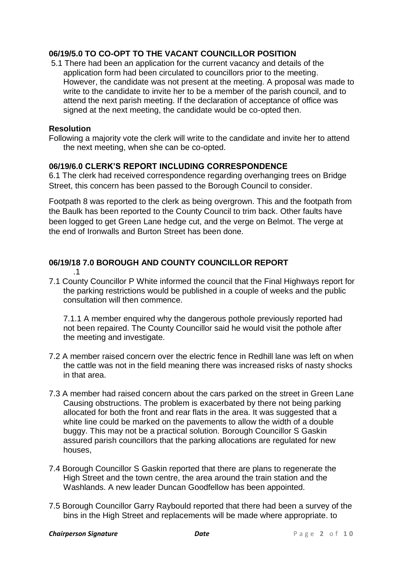# **06/19/5.0 TO CO-OPT TO THE VACANT COUNCILLOR POSITION**

5.1 There had been an application for the current vacancy and details of the application form had been circulated to councillors prior to the meeting. However, the candidate was not present at the meeting. A proposal was made to write to the candidate to invite her to be a member of the parish council, and to attend the next parish meeting. If the declaration of acceptance of office was signed at the next meeting, the candidate would be co-opted then.

## **Resolution**

Following a majority vote the clerk will write to the candidate and invite her to attend the next meeting, when she can be co-opted.

# **06/19/6.0 CLERK'S REPORT INCLUDING CORRESPONDENCE**

6.1 The clerk had received correspondence regarding overhanging trees on Bridge Street, this concern has been passed to the Borough Council to consider.

Footpath 8 was reported to the clerk as being overgrown. This and the footpath from the Baulk has been reported to the County Council to trim back. Other faults have been logged to get Green Lane hedge cut, and the verge on Belmot. The verge at the end of Ironwalls and Burton Street has been done.

# **06/19/18 7.0 BOROUGH AND COUNTY COUNCILLOR REPORT**

#### .1

7.1 County Councillor P White informed the council that the Final Highways report for the parking restrictions would be published in a couple of weeks and the public consultation will then commence.

7.1.1 A member enquired why the dangerous pothole previously reported had not been repaired. The County Councillor said he would visit the pothole after the meeting and investigate.

- 7.2 A member raised concern over the electric fence in Redhill lane was left on when the cattle was not in the field meaning there was increased risks of nasty shocks in that area.
- 7.3 A member had raised concern about the cars parked on the street in Green Lane Causing obstructions. The problem is exacerbated by there not being parking allocated for both the front and rear flats in the area. It was suggested that a white line could be marked on the pavements to allow the width of a double buggy. This may not be a practical solution. Borough Councillor S Gaskin assured parish councillors that the parking allocations are regulated for new houses,
- 7.4 Borough Councillor S Gaskin reported that there are plans to regenerate the High Street and the town centre, the area around the train station and the Washlands. A new leader Duncan Goodfellow has been appointed.
- 7.5 Borough Councillor Garry Raybould reported that there had been a survey of the bins in the High Street and replacements will be made where appropriate. to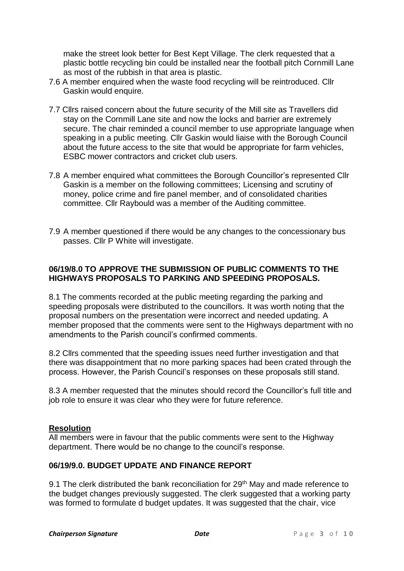make the street look better for Best Kept Village. The clerk requested that a plastic bottle recycling bin could be installed near the football pitch Cornmill Lane as most of the rubbish in that area is plastic.

- 7.6 A member enquired when the waste food recycling will be reintroduced. Cllr Gaskin would enquire.
- 7.7 Cllrs raised concern about the future security of the Mill site as Travellers did stay on the Cornmill Lane site and now the locks and barrier are extremely secure. The chair reminded a council member to use appropriate language when speaking in a public meeting. Cllr Gaskin would liaise with the Borough Council about the future access to the site that would be appropriate for farm vehicles, ESBC mower contractors and cricket club users.
- 7.8 A member enquired what committees the Borough Councillor's represented Cllr Gaskin is a member on the following committees; Licensing and scrutiny of money, police crime and fire panel member, and of consolidated charities committee. Cllr Raybould was a member of the Auditing committee.
- 7.9 A member questioned if there would be any changes to the concessionary bus passes. Cllr P White will investigate.

## **06/19/8.0 TO APPROVE THE SUBMISSION OF PUBLIC COMMENTS TO THE HIGHWAYS PROPOSALS TO PARKING AND SPEEDING PROPOSALS.**

8.1 The comments recorded at the public meeting regarding the parking and speeding proposals were distributed to the councillors. It was worth noting that the proposal numbers on the presentation were incorrect and needed updating. A member proposed that the comments were sent to the Highways department with no amendments to the Parish council's confirmed comments.

8.2 Cllrs commented that the speeding issues need further investigation and that there was disappointment that no more parking spaces had been crated through the process. However, the Parish Council's responses on these proposals still stand.

8.3 A member requested that the minutes should record the Councillor's full title and job role to ensure it was clear who they were for future reference.

## **Resolution**

All members were in favour that the public comments were sent to the Highway department. There would be no change to the council's response.

# **06/19/9.0. BUDGET UPDATE AND FINANCE REPORT**

9.1 The clerk distributed the bank reconciliation for 29<sup>th</sup> May and made reference to the budget changes previously suggested. The clerk suggested that a working party was formed to formulate d budget updates. It was suggested that the chair, vice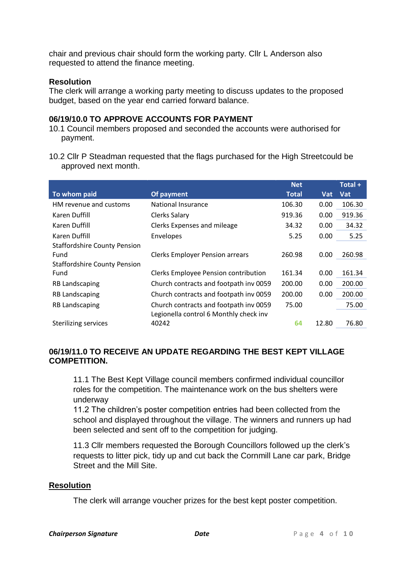chair and previous chair should form the working party. Cllr L Anderson also requested to attend the finance meeting.

## **Resolution**

The clerk will arrange a working party meeting to discuss updates to the proposed budget, based on the year end carried forward balance.

## **06/19/10.0 TO APPROVE ACCOUNTS FOR PAYMENT**

- 10.1 Council members proposed and seconded the accounts were authorised for payment.
- 10.2 Cllr P Steadman requested that the flags purchased for the High Streetcould be approved next month.

|                                     |                                        | <b>Net</b>   |            | Total + |
|-------------------------------------|----------------------------------------|--------------|------------|---------|
| To whom paid                        | Of payment                             | <b>Total</b> | <b>Vat</b> | Vat     |
| HM revenue and customs              | National Insurance                     | 106.30       | 0.00       | 106.30  |
| Karen Duffill                       | <b>Clerks Salary</b>                   | 919.36       | 0.00       | 919.36  |
| Karen Duffill                       | Clerks Expenses and mileage            | 34.32        | 0.00       | 34.32   |
| Karen Duffill                       | Envelopes                              | 5.25         | 0.00       | 5.25    |
| <b>Staffordshire County Pension</b> |                                        |              |            |         |
| Fund                                | <b>Clerks Employer Pension arrears</b> | 260.98       | 0.00       | 260.98  |
| <b>Staffordshire County Pension</b> |                                        |              |            |         |
| Fund                                | Clerks Employee Pension contribution   | 161.34       | 0.00       | 161.34  |
| <b>RB Landscaping</b>               | Church contracts and footpath inv 0059 | 200.00       | 0.00       | 200.00  |
| <b>RB Landscaping</b>               | Church contracts and footpath inv 0059 | 200.00       | 0.00       | 200.00  |
| <b>RB Landscaping</b>               | Church contracts and footpath inv 0059 | 75.00        |            | 75.00   |
|                                     | Legionella control 6 Monthly check inv |              |            |         |
| <b>Sterilizing services</b>         | 40242                                  | 64           | 12.80      | 76.80   |

## **06/19/11.0 TO RECEIVE AN UPDATE REGARDING THE BEST KEPT VILLAGE COMPETITION.**

11.1 The Best Kept Village council members confirmed individual councillor roles for the competition. The maintenance work on the bus shelters were underway

11.2 The children's poster competition entries had been collected from the school and displayed throughout the village. The winners and runners up had been selected and sent off to the competition for judging.

11.3 Cllr members requested the Borough Councillors followed up the clerk's requests to litter pick, tidy up and cut back the Cornmill Lane car park, Bridge Street and the Mill Site.

## **Resolution**

The clerk will arrange voucher prizes for the best kept poster competition.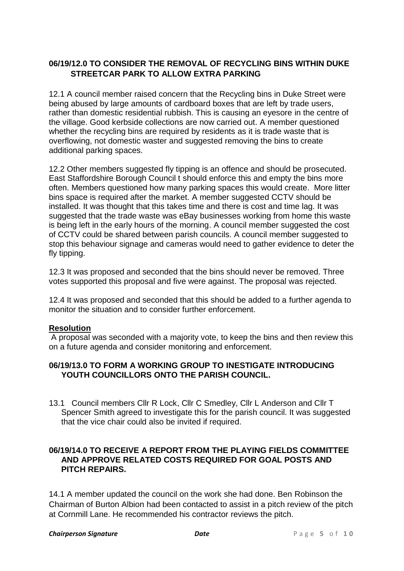# **06/19/12.0 TO CONSIDER THE REMOVAL OF RECYCLING BINS WITHIN DUKE STREETCAR PARK TO ALLOW EXTRA PARKING**

12.1 A council member raised concern that the Recycling bins in Duke Street were being abused by large amounts of cardboard boxes that are left by trade users, rather than domestic residential rubbish. This is causing an eyesore in the centre of the village. Good kerbside collections are now carried out. A member questioned whether the recycling bins are required by residents as it is trade waste that is overflowing, not domestic waster and suggested removing the bins to create additional parking spaces.

12.2 Other members suggested fly tipping is an offence and should be prosecuted. East Staffordshire Borough Council t should enforce this and empty the bins more often. Members questioned how many parking spaces this would create. More litter bins space is required after the market. A member suggested CCTV should be installed. It was thought that this takes time and there is cost and time lag. It was suggested that the trade waste was eBay businesses working from home this waste is being left in the early hours of the morning. A council member suggested the cost of CCTV could be shared between parish councils. A council member suggested to stop this behaviour signage and cameras would need to gather evidence to deter the fly tipping.

12.3 It was proposed and seconded that the bins should never be removed. Three votes supported this proposal and five were against. The proposal was rejected.

12.4 It was proposed and seconded that this should be added to a further agenda to monitor the situation and to consider further enforcement.

## **Resolution**

A proposal was seconded with a majority vote, to keep the bins and then review this on a future agenda and consider monitoring and enforcement.

## **06/19/13.0 TO FORM A WORKING GROUP TO INESTIGATE INTRODUCING YOUTH COUNCILLORS ONTO THE PARISH COUNCIL.**

13.1 Council members Cllr R Lock, Cllr C Smedley, Cllr L Anderson and Cllr T Spencer Smith agreed to investigate this for the parish council. It was suggested that the vice chair could also be invited if required.

## **06/19/14.0 TO RECEIVE A REPORT FROM THE PLAYING FIELDS COMMITTEE AND APPROVE RELATED COSTS REQUIRED FOR GOAL POSTS AND PITCH REPAIRS.**

14.1 A member updated the council on the work she had done. Ben Robinson the Chairman of Burton Albion had been contacted to assist in a pitch review of the pitch at Cornmill Lane. He recommended his contractor reviews the pitch.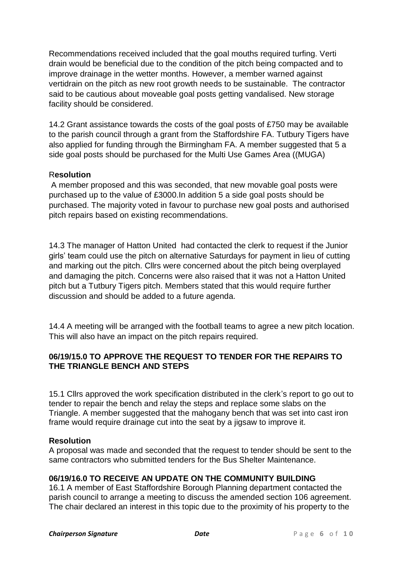Recommendations received included that the goal mouths required turfing. Verti drain would be beneficial due to the condition of the pitch being compacted and to improve drainage in the wetter months. However, a member warned against vertidrain on the pitch as new root growth needs to be sustainable. The contractor said to be cautious about moveable goal posts getting vandalised. New storage facility should be considered.

14.2 Grant assistance towards the costs of the goal posts of £750 may be available to the parish council through a grant from the Staffordshire FA. Tutbury Tigers have also applied for funding through the Birmingham FA. A member suggested that 5 a side goal posts should be purchased for the Multi Use Games Area ((MUGA)

# R**esolution**

A member proposed and this was seconded, that new movable goal posts were purchased up to the value of £3000.In addition 5 a side goal posts should be purchased. The majority voted in favour to purchase new goal posts and authorised pitch repairs based on existing recommendations.

14.3 The manager of Hatton United had contacted the clerk to request if the Junior girls' team could use the pitch on alternative Saturdays for payment in lieu of cutting and marking out the pitch. Cllrs were concerned about the pitch being overplayed and damaging the pitch. Concerns were also raised that it was not a Hatton United pitch but a Tutbury Tigers pitch. Members stated that this would require further discussion and should be added to a future agenda.

14.4 A meeting will be arranged with the football teams to agree a new pitch location. This will also have an impact on the pitch repairs required.

# **06/19/15.0 TO APPROVE THE REQUEST TO TENDER FOR THE REPAIRS TO THE TRIANGLE BENCH AND STEPS**

15.1 Cllrs approved the work specification distributed in the clerk's report to go out to tender to repair the bench and relay the steps and replace some slabs on the Triangle. A member suggested that the mahogany bench that was set into cast iron frame would require drainage cut into the seat by a jigsaw to improve it.

## **Resolution**

A proposal was made and seconded that the request to tender should be sent to the same contractors who submitted tenders for the Bus Shelter Maintenance.

# **06/19/16.0 TO RECEIVE AN UPDATE ON THE COMMUNITY BUILDING**

16.1 A member of East Staffordshire Borough Planning department contacted the parish council to arrange a meeting to discuss the amended section 106 agreement. The chair declared an interest in this topic due to the proximity of his property to the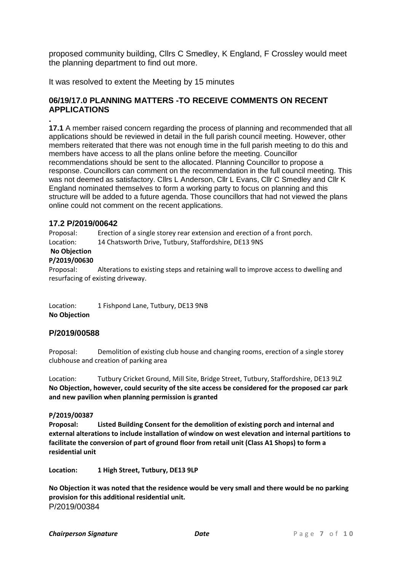proposed community building, Cllrs C Smedley, K England, F Crossley would meet the planning department to find out more.

It was resolved to extent the Meeting by 15 minutes

## **06/19/17.0 PLANNING MATTERS -TO RECEIVE COMMENTS ON RECENT APPLICATIONS**

**. 17.1** A member raised concern regarding the process of planning and recommended that all applications should be reviewed in detail in the full parish council meeting. However, other members reiterated that there was not enough time in the full parish meeting to do this and members have access to all the plans online before the meeting. Councillor recommendations should be sent to the allocated. Planning Councillor to propose a response. Councillors can comment on the recommendation in the full council meeting. This was not deemed as satisfactory. Cllrs L Anderson, Cllr L Evans, Cllr C Smedley and Cllr K England nominated themselves to form a working party to focus on planning and this structure will be added to a future agenda. Those councillors that had not viewed the plans online could not comment on the recent applications.

#### **17.2 P/2019/00642**

Proposal: Erection of a single storey rear extension and erection of a front porch.

Location: 14 Chatsworth Drive, Tutbury, Staffordshire, DE13 9NS

#### **No Objection**

#### **P/2019/00630**

Proposal: Alterations to existing steps and retaining wall to improve access to dwelling and resurfacing of existing driveway.

Location: 1 Fishpond Lane, Tutbury, DE13 9NB **No Objection**

#### **P/2019/00588**

Proposal: Demolition of existing club house and changing rooms, erection of a single storey clubhouse and creation of parking area

Location: Tutbury Cricket Ground, Mill Site, Bridge Street, Tutbury, Staffordshire, DE13 9LZ **No Objection, however, could security of the site access be considered for the proposed car park and new pavilion when planning permission is granted**

#### **P/2019/00387**

**Proposal: Listed Building Consent for the demolition of existing porch and internal and external alterations to include installation of window on west elevation and internal partitions to facilitate the conversion of part of ground floor from retail unit (Class A1 Shops) to form a residential unit**

**Location: 1 High Street, Tutbury, DE13 9LP**

**No Objection it was noted that the residence would be very small and there would be no parking provision for this additional residential unit.** P/2019/00384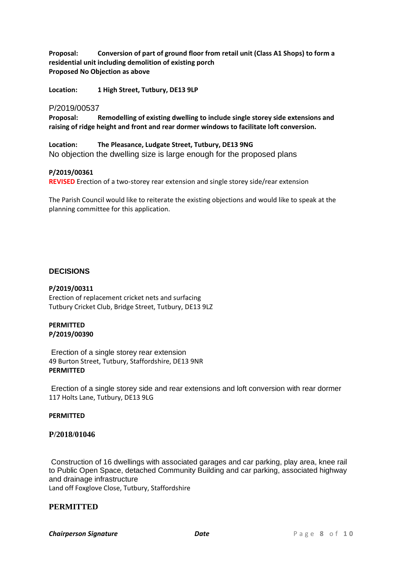**Proposal: Conversion of part of ground floor from retail unit (Class A1 Shops) to form a residential unit including demolition of existing porch Proposed No Objection as above**

**Location: 1 High Street, Tutbury, DE13 9LP**

#### P/2019/00537

**Proposal: Remodelling of existing dwelling to include single storey side extensions and raising of ridge height and front and rear dormer windows to facilitate loft conversion.**

**Location: The Pleasance, Ludgate Street, Tutbury, DE13 9NG** No objection the dwelling size is large enough for the proposed plans

#### **P/2019/00361**

**REVISED** Erection of a two-storey rear extension and single storey side/rear extension

The Parish Council would like to reiterate the existing objections and would like to speak at the planning committee for this application.

#### **DECISIONS**

#### **P/2019/00311**

Erection of replacement cricket nets and surfacing Tutbury Cricket Club, Bridge Street, Tutbury, DE13 9LZ

#### **PERMITTED P/2019/00390**

Erection of a single storey rear extension 49 Burton Street, Tutbury, Staffordshire, DE13 9NR **PERMITTED**

Erection of a single storey side and rear extensions and loft conversion with rear dormer 117 Holts Lane, Tutbury, DE13 9LG

#### **PERMITTED**

#### **P/2018/01046**

Construction of 16 dwellings with associated garages and car parking, play area, knee rail to Public Open Space, detached Community Building and car parking, associated highway and drainage infrastructure Land off Foxglove Close, Tutbury, Staffordshire

#### **PERMITTED**

**Chairperson Signature** *Date Date Page 8 of 10*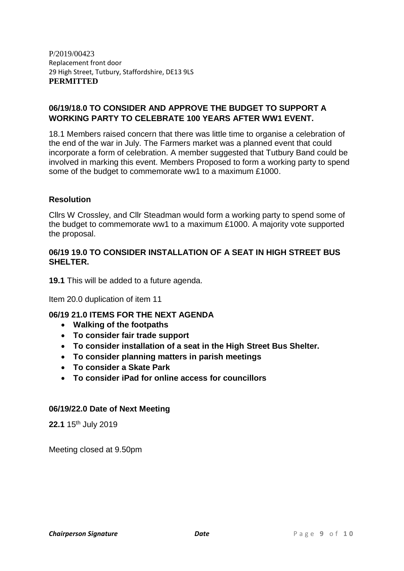P/2019/00423 Replacement front door 29 High Street, Tutbury, Staffordshire, DE13 9LS **PERMITTED**

## **06/19/18.0 TO CONSIDER AND APPROVE THE BUDGET TO SUPPORT A WORKING PARTY TO CELEBRATE 100 YEARS AFTER WW1 EVENT.**

18.1 Members raised concern that there was little time to organise a celebration of the end of the war in July. The Farmers market was a planned event that could incorporate a form of celebration. A member suggested that Tutbury Band could be involved in marking this event. Members Proposed to form a working party to spend some of the budget to commemorate ww1 to a maximum £1000.

#### **Resolution**

Cllrs W Crossley, and Cllr Steadman would form a working party to spend some of the budget to commemorate ww1 to a maximum £1000. A majority vote supported the proposal.

#### **06/19 19.0 TO CONSIDER INSTALLATION OF A SEAT IN HIGH STREET BUS SHELTER.**

**19.1** This will be added to a future agenda.

Item 20.0 duplication of item 11

## **06/19 21.0 ITEMS FOR THE NEXT AGENDA**

- **Walking of the footpaths**
- **To consider fair trade support**
- **To consider installation of a seat in the High Street Bus Shelter.**
- **To consider planning matters in parish meetings**
- **To consider a Skate Park**
- **To consider iPad for online access for councillors**

#### **06/19/22.0 Date of Next Meeting**

**22.1** 15th July 2019

Meeting closed at 9.50pm